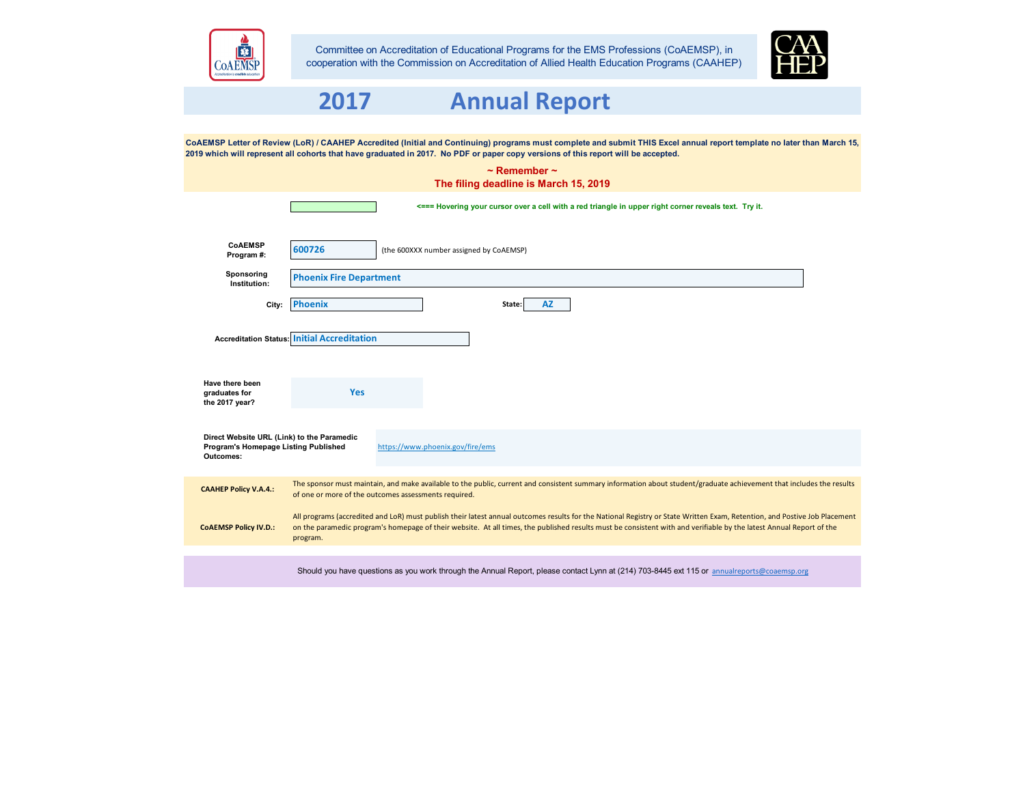

Committee on Accreditation of Educational Programs for the EMS Professions (CoAEMSP), in cooperation with the Commission on Accreditation of Allied Health Education Programs (CAAHEP)



# **2017 Annual Report**

**CoAEMSP FROGRAM #:** (the 600XXX number assigned by CoAEMSP) **Sponsoring Institution:** City: <mark>Phoenix and the state: AZ</mark> **Accreditation Status: Have there been graduates for the 2017 year?** CoAEMSP Letter of Review (LoR) / CAAHEP Accredited (Initial and Continuing) programs must complete and submit THIS Excel annual report template no later than March 15, **2019 which will represent all cohorts that have graduated in 2017. No PDF or paper copy versions of this report will be accepted. Phoenix Fire Department Phoenix** State: **~ Remember ~ The filing deadline is March 15, 2019 Initial Accreditation** The sponsor must maintain, and make available to the public, current and consistent summary information about student/graduate achievement that includes the results of one or more of the outcomes assessments required. **<=== Hovering your cursor over a cell with a red triangle in upper right corner reveals text. Try it. Yes** https://www.phoenix.gov/fire/ems **Direct Website URL (Link) to the Paramedic Program's Homepage Listing Published Outcomes: CAAHEP Policy V.A.4.:** All programs (accredited and LoR) must publish their latest annual outcomes results for the National Registry or State Written Exam, Retention, and Postive Job Placement on the paramedic program's homepage of their website. At all times, the published results must be consistent with and verifiable by the latest Annual Report of the program. **CoAEMSP Policy IV.D.:**

Should you have questions as you work through the Annual Report, please contact Lynn at (214) 703-8445 ext 115 or [annualreports](mailto:annualreports@coaemsp.org)@coaemsp.org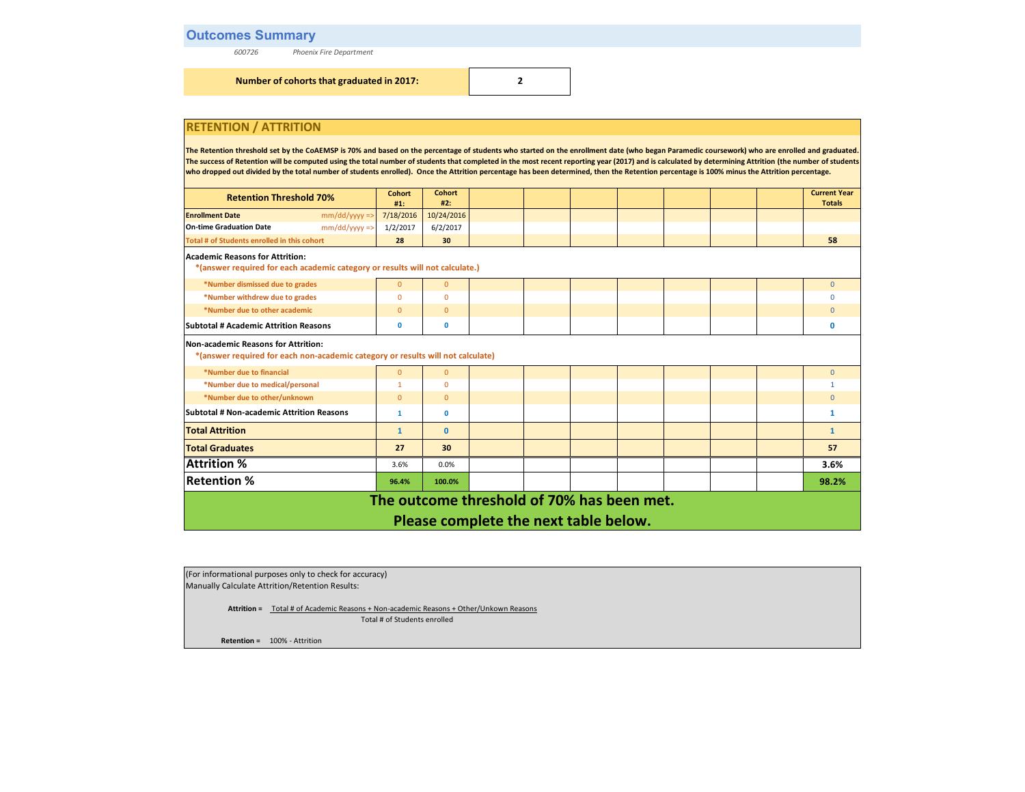# **Outcomes Summary**

*600726 Phoenix Fire Department*

**Number of cohorts that graduated in 2017: 2**

## **RETENTION / ATTRITION**

The Retention threshold set by the CoAEMSP is 70% and based on the percentage of students who started on the enrollment date (who began Paramedic coursework) who are enrolled and graduated. The success of Retention will be computed using the total number of students that completed in the most recent reporting year (2017) and is calculated by determining Attrition (the number of students **who dropped out divided by the total number of students enrolled). Once the Attrition percentage has been determined, then the Retention percentage is 100% minus the Attrition percentage.**

| <b>Retention Threshold 70%</b>                                                                                         | <b>Cohort</b><br>#1: | <b>Cohort</b><br>#2: |                                            |  |  |  | <b>Current Year</b><br><b>Totals</b> |
|------------------------------------------------------------------------------------------------------------------------|----------------------|----------------------|--------------------------------------------|--|--|--|--------------------------------------|
| <b>Enrollment Date</b><br>$mm/dd/yyyy =$                                                                               | 7/18/2016            | 10/24/2016           |                                            |  |  |  |                                      |
| <b>On-time Graduation Date</b><br>$mm/dd/yyyy$ =>                                                                      | 1/2/2017             | 6/2/2017             |                                            |  |  |  |                                      |
| Total # of Students enrolled in this cohort                                                                            | 28                   | 30                   |                                            |  |  |  | 58                                   |
| Academic Reasons for Attrition:                                                                                        |                      |                      |                                            |  |  |  |                                      |
| *(answer required for each academic category or results will not calculate.)                                           |                      |                      |                                            |  |  |  |                                      |
| *Number dismissed due to grades                                                                                        | $\overline{0}$       | $\mathbf{0}$         |                                            |  |  |  | $\Omega$                             |
| *Number withdrew due to grades                                                                                         | $\Omega$             | $\Omega$             |                                            |  |  |  |                                      |
| *Number due to other academic                                                                                          | $\mathbf{0}$         | $\mathbf{0}$         |                                            |  |  |  |                                      |
| <b>Subtotal # Academic Attrition Reasons</b>                                                                           | 0                    | $\mathbf 0$          |                                            |  |  |  | $\mathbf{0}$                         |
| Non-academic Reasons for Attrition:<br>*(answer required for each non-academic category or results will not calculate) |                      |                      |                                            |  |  |  |                                      |
| *Number due to financial                                                                                               | $\overline{0}$       | $\mathbf{0}$         |                                            |  |  |  | $\Omega$                             |
| *Number due to medical/personal                                                                                        |                      | $\Omega$             |                                            |  |  |  |                                      |
| *Number due to other/unknown                                                                                           | $\overline{0}$       | $\mathbf{0}$         |                                            |  |  |  | n                                    |
| <b>Subtotal # Non-academic Attrition Reasons</b>                                                                       | 1                    | $\mathbf{0}$         |                                            |  |  |  | -1                                   |
| <b>Total Attrition</b>                                                                                                 | $\mathbf{1}$         | $\mathbf{0}$         |                                            |  |  |  | $\mathbf{1}$                         |
| <b>Total Graduates</b>                                                                                                 | 27                   | 30                   |                                            |  |  |  | 57                                   |
| <b>Attrition %</b>                                                                                                     | 3.6%                 | 0.0%                 |                                            |  |  |  | 3.6%                                 |
| <b>Retention %</b>                                                                                                     | 96.4%                | 100.0%               |                                            |  |  |  | 98.2%                                |
|                                                                                                                        |                      |                      | The outcome threshold of 70% has been met. |  |  |  |                                      |
|                                                                                                                        |                      |                      | Please complete the next table below.      |  |  |  |                                      |

(For informational purposes only to check for accuracy) Manually Calculate Attrition/Retention Results:

> **Attrition =** Total # of Academic Reasons + Non-academic Reasons + Other/Unkown Reasons Total # of Students enrolled

**Retention =** 100% - Attrition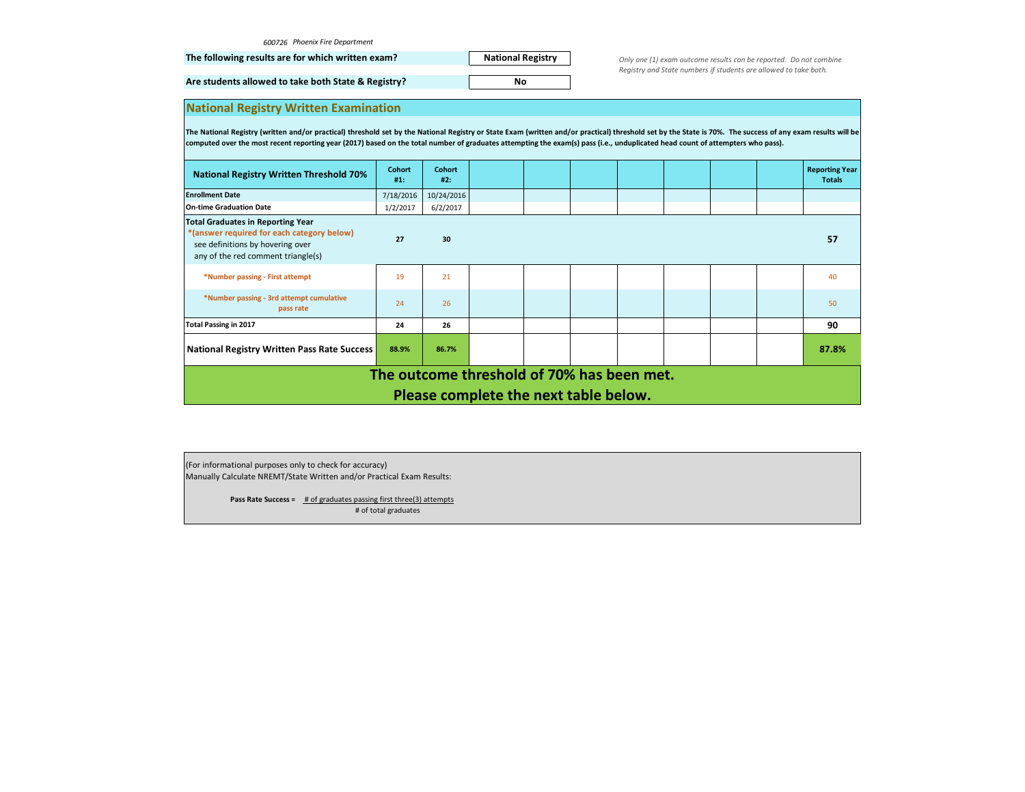|  | 600726 Phoenix Fire Department |  |
|--|--------------------------------|--|
|--|--------------------------------|--|

|  |  |  |  |  |  |  |  | The following results are for which written exam? |  |  |
|--|--|--|--|--|--|--|--|---------------------------------------------------|--|--|
|--|--|--|--|--|--|--|--|---------------------------------------------------|--|--|

**National Registry No**

*Only one (1) exam outcome results can be reported. Do not combine Registry and State numbers if students are allowed to take both.*

**Are students allowed to take both State & Registry?** 

| <b>National Registry Written Examination</b> |
|----------------------------------------------|
|----------------------------------------------|

The National Registry (written and/or practical) threshold set by the National Registry or State Exam (written and/or practical) threshold set by the State is 70%. The success of any exam results will be **computed over the most recent reporting year (2017) based on the total number of graduates attempting the exam(s) pass (i.e., unduplicated head count of attempters who pass).**

| <b>National Registry Written Threshold 70%</b>                                                                                                                   | <b>Cohort</b><br>#1: | <b>Cohort</b><br>#2: |                                       |  |  |  |  |  | <b>Reporting Year</b><br><b>Totals</b> |
|------------------------------------------------------------------------------------------------------------------------------------------------------------------|----------------------|----------------------|---------------------------------------|--|--|--|--|--|----------------------------------------|
| <b>Enrollment Date</b>                                                                                                                                           | 7/18/2016            | 10/24/2016           |                                       |  |  |  |  |  |                                        |
| <b>On-time Graduation Date</b>                                                                                                                                   | 1/2/2017             | 6/2/2017             |                                       |  |  |  |  |  |                                        |
| <b>Total Graduates in Reporting Year</b><br>*(answer required for each category below)<br>see definitions by hovering over<br>any of the red comment triangle(s) | 27                   | 30                   |                                       |  |  |  |  |  | 57                                     |
| *Number passing - First attempt                                                                                                                                  | 19                   | 21                   |                                       |  |  |  |  |  | 40                                     |
| *Number passing - 3rd attempt cumulative<br>pass rate                                                                                                            | 24                   | 26                   |                                       |  |  |  |  |  | 50                                     |
| <b>Total Passing in 2017</b>                                                                                                                                     | 24                   | 26                   |                                       |  |  |  |  |  | 90                                     |
| <b>National Registry Written Pass Rate Success</b>                                                                                                               | 88.9%                | 86.7%                |                                       |  |  |  |  |  | 87.8%                                  |
| The outcome threshold of 70% has been met.                                                                                                                       |                      |                      |                                       |  |  |  |  |  |                                        |
|                                                                                                                                                                  |                      |                      | Please complete the next table below. |  |  |  |  |  |                                        |

(For informational purposes only to check for accuracy) Manually Calculate NREMT/State Written and/or Practical Exam Results:

> **Pass Rate Success =** # of graduates passing first three(3) attempts # of total graduates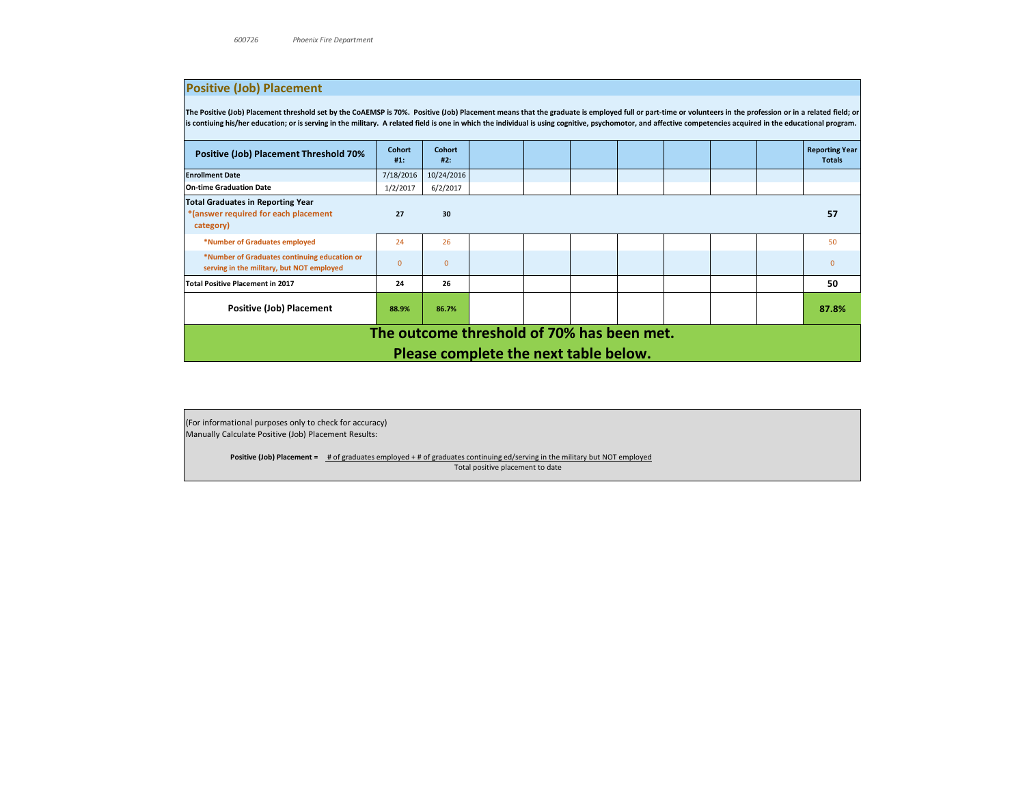# **Positive (Job) Placement**

The Positive (Job) Placement threshold set by the CoAEMSP is 70%. Positive (Job) Placement means that the graduate is employed full or part-time or volunteers in the profession or in a related field; or **is contiuing his/her education; or is serving in the military. A related field is one in which the individual is using cognitive, psychomotor, and affective competencies acquired in the educational program.**

| Positive (Job) Placement Threshold 70%                                                        | <b>Cohort</b><br>#1: | <b>Cohort</b><br>#2: |                                       |  |  |  |  |  | <b>Reporting Year</b><br><b>Totals</b> |
|-----------------------------------------------------------------------------------------------|----------------------|----------------------|---------------------------------------|--|--|--|--|--|----------------------------------------|
| <b>Enrollment Date</b>                                                                        | 7/18/2016            | 10/24/2016           |                                       |  |  |  |  |  |                                        |
| <b>On-time Graduation Date</b>                                                                | 1/2/2017             | 6/2/2017             |                                       |  |  |  |  |  |                                        |
| <b>Total Graduates in Reporting Year</b><br>*(answer required for each placement<br>category) | 27                   | 30                   |                                       |  |  |  |  |  | 57                                     |
| *Number of Graduates employed                                                                 | 24                   | 26                   |                                       |  |  |  |  |  | 50                                     |
| *Number of Graduates continuing education or<br>serving in the military, but NOT employed     | $\Omega$             | $\Omega$             |                                       |  |  |  |  |  | $\Omega$                               |
| <b>Total Positive Placement in 2017</b>                                                       | 24                   | 26                   |                                       |  |  |  |  |  | 50                                     |
| <b>Positive (Job) Placement</b>                                                               | 88.9%                | 86.7%                |                                       |  |  |  |  |  | 87.8%                                  |
| The outcome threshold of 70% has been met.                                                    |                      |                      |                                       |  |  |  |  |  |                                        |
|                                                                                               |                      |                      | Please complete the next table below. |  |  |  |  |  |                                        |

(For informational purposes only to check for accuracy) Manually Calculate Positive (Job) Placement Results:

**Positive (Job) Placement =** # of graduates employed + # of graduates continuing ed/serving in the military but NOT employed

Total positive placement to date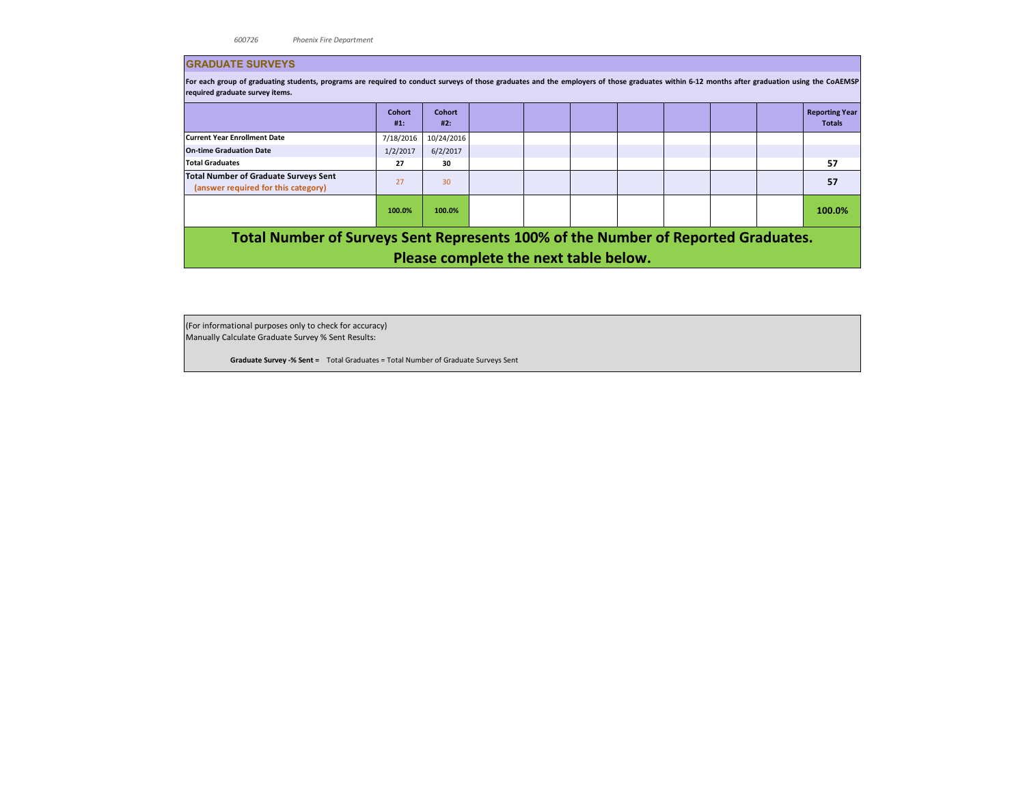#### **GRADUATE SURVEYS**

For each group of graduating students, programs are required to conduct surveys of those graduates and the employers of those graduates within 6-12 months after graduation using the COAEMSP **required graduate survey items.** 

|                                                                                     | <b>Cohort</b><br>#1: | <b>Cohort</b><br>#2: |                                                                                                                                                                                                                                                                                                                                    |  |                                                  | <b>Reporting Year</b><br><b>Totals</b> |
|-------------------------------------------------------------------------------------|----------------------|----------------------|------------------------------------------------------------------------------------------------------------------------------------------------------------------------------------------------------------------------------------------------------------------------------------------------------------------------------------|--|--------------------------------------------------|----------------------------------------|
| <b>Current Year Enrollment Date</b>                                                 | 7/18/2016            | 10/24/2016           |                                                                                                                                                                                                                                                                                                                                    |  |                                                  |                                        |
| <b>On-time Graduation Date</b>                                                      | 1/2/2017             | 6/2/2017             |                                                                                                                                                                                                                                                                                                                                    |  |                                                  |                                        |
| <b>Total Graduates</b>                                                              | 27                   | 30                   |                                                                                                                                                                                                                                                                                                                                    |  |                                                  | 57                                     |
| <b>Total Number of Graduate Surveys Sent</b><br>(answer required for this category) | 27                   | 30                   |                                                                                                                                                                                                                                                                                                                                    |  |                                                  | 57                                     |
|                                                                                     | 100.0%               | 100.0%               |                                                                                                                                                                                                                                                                                                                                    |  |                                                  | 100.0%                                 |
| . .<br>----                                                                         |                      | .                    | $\mathbf{A}$ $\mathbf{A}$ $\mathbf{A}$ $\mathbf{A}$ $\mathbf{A}$ $\mathbf{A}$ $\mathbf{A}$ $\mathbf{A}$ $\mathbf{A}$ $\mathbf{A}$ $\mathbf{A}$ $\mathbf{A}$ $\mathbf{A}$ $\mathbf{A}$ $\mathbf{A}$ $\mathbf{A}$ $\mathbf{A}$ $\mathbf{A}$ $\mathbf{A}$ $\mathbf{A}$ $\mathbf{A}$ $\mathbf{A}$ $\mathbf{A}$ $\mathbf{A}$ $\mathbf{$ |  | $\sim$ $\sim$ $\sim$ $\sim$ $\sim$ $\sim$ $\sim$ |                                        |

**Total Number of Surveys Sent Represents 100% of the Number of Reported Graduates. Please complete the next table below.**

(For informational purposes only to check for accuracy) Manually Calculate Graduate Survey % Sent Results:

**Graduate Survey -% Sent =** Total Graduates = Total Number of Graduate Surveys Sent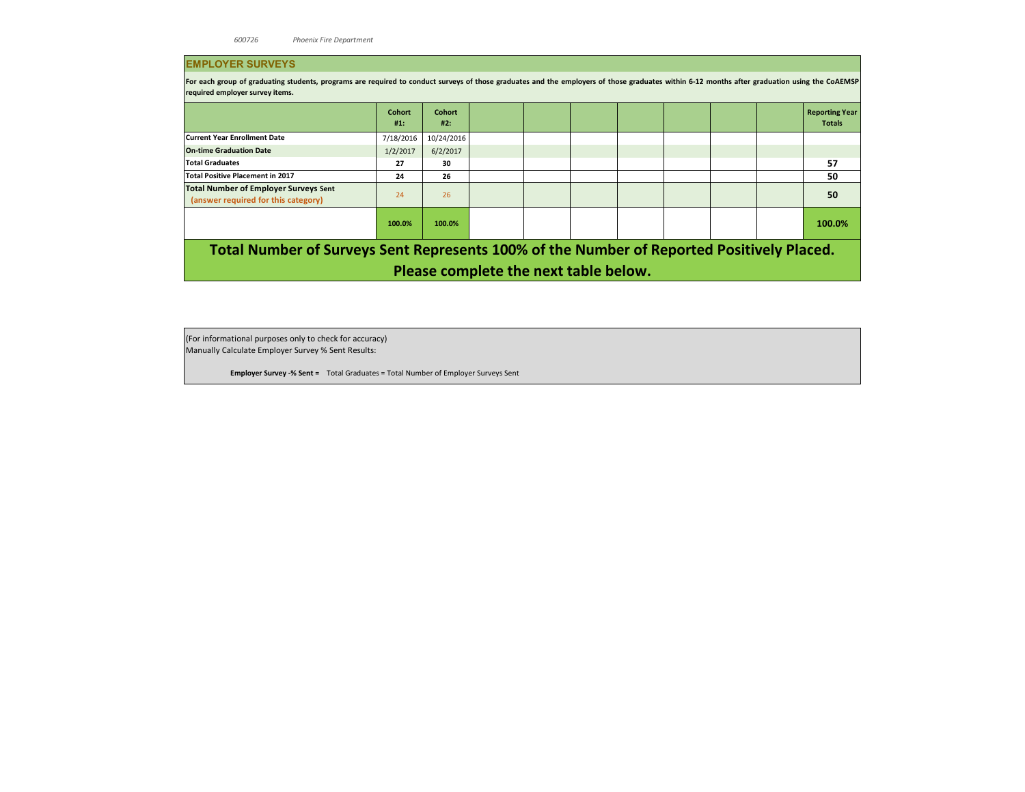### **EMPLOYER SURVEYS**

For each group of graduating students, programs are required to conduct surveys of those graduates and the employers of those graduates within 6-12 months after graduation using the COAEMSP **required employer survey items.** 

|                                                                                           | <b>Cohort</b><br>#1: | <b>Cohort</b><br>#2: |  |  |                                       |  |  |  |  | <b>Reporting Year</b><br><b>Totals</b> |  |  |  |
|-------------------------------------------------------------------------------------------|----------------------|----------------------|--|--|---------------------------------------|--|--|--|--|----------------------------------------|--|--|--|
| <b>Current Year Enrollment Date</b>                                                       | 7/18/2016            | 10/24/2016           |  |  |                                       |  |  |  |  |                                        |  |  |  |
| <b>On-time Graduation Date</b>                                                            | 1/2/2017             | 6/2/2017             |  |  |                                       |  |  |  |  |                                        |  |  |  |
| <b>Total Graduates</b>                                                                    | 27                   | 30                   |  |  |                                       |  |  |  |  | 57                                     |  |  |  |
| <b>Total Positive Placement in 2017</b>                                                   | 24                   | 26                   |  |  |                                       |  |  |  |  | 50                                     |  |  |  |
| <b>Total Number of Employer Surveys Sent</b><br>(answer required for this category)       | 24                   | 26                   |  |  |                                       |  |  |  |  | 50                                     |  |  |  |
|                                                                                           | 100.0%               | 100.0%               |  |  |                                       |  |  |  |  | 100.0%                                 |  |  |  |
| Total Number of Surveys Sent Represents 100% of the Number of Reported Positively Placed. |                      |                      |  |  |                                       |  |  |  |  |                                        |  |  |  |
|                                                                                           |                      |                      |  |  | Please complete the next table below. |  |  |  |  |                                        |  |  |  |

(For informational purposes only to check for accuracy) Manually Calculate Employer Survey % Sent Results:

**Employer Survey -% Sent =** Total Graduates = Total Number of Employer Surveys Sent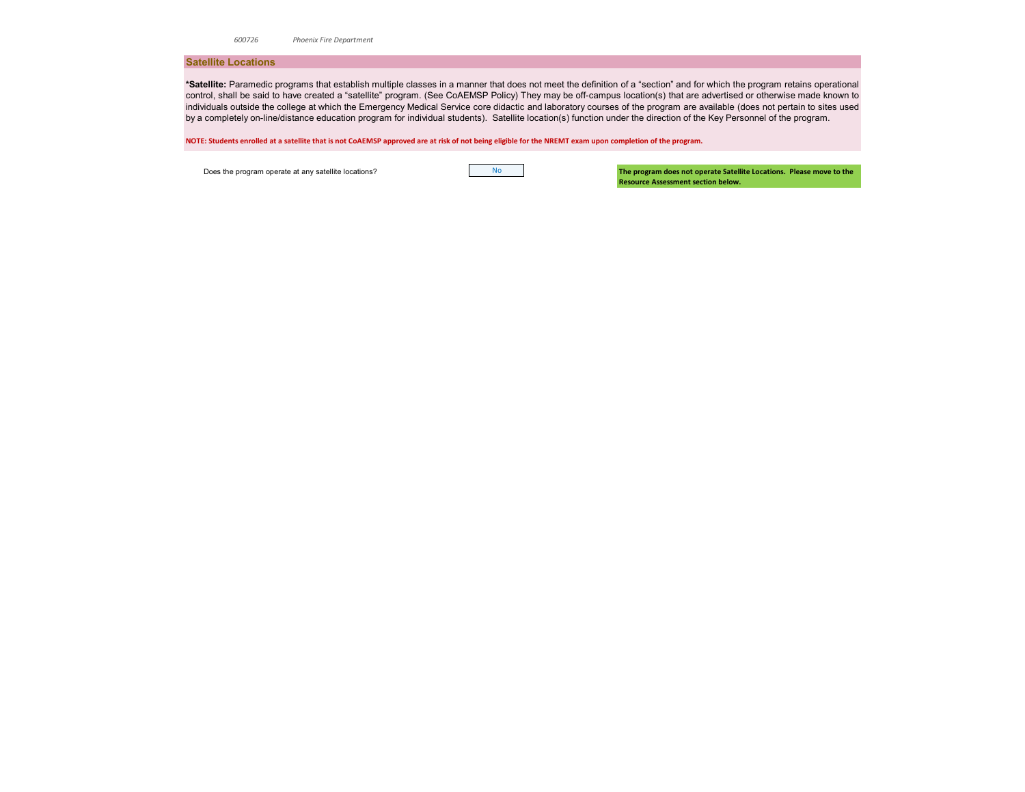*600726 Phoenix Fire Department*

#### **Satellite Locations**

**\*Satellite:** Paramedic programs that establish multiple classes in a manner that does not meet the definition of a "section" and for which the program retains operational control, shall be said to have created a "satellite" program. (See CoAEMSP Policy) They may be off-campus location(s) that are advertised or otherwise made known to individuals outside the college at which the Emergency Medical Service core didactic and laboratory courses of the program are available (does not pertain to sites used by a completely on-line/distance education program for individual students). Satellite location(s) function under the direction of the Key Personnel of the program.

**NOTE: Students enrolled at a satellite that is not CoAEMSP approved are at risk of not being eligible for the NREMT exam upon completion of the program.** 

Does the program operate at any satellite locations?

**The program does not operate Satellite Locations. Please move to the Resource Assessment section below.**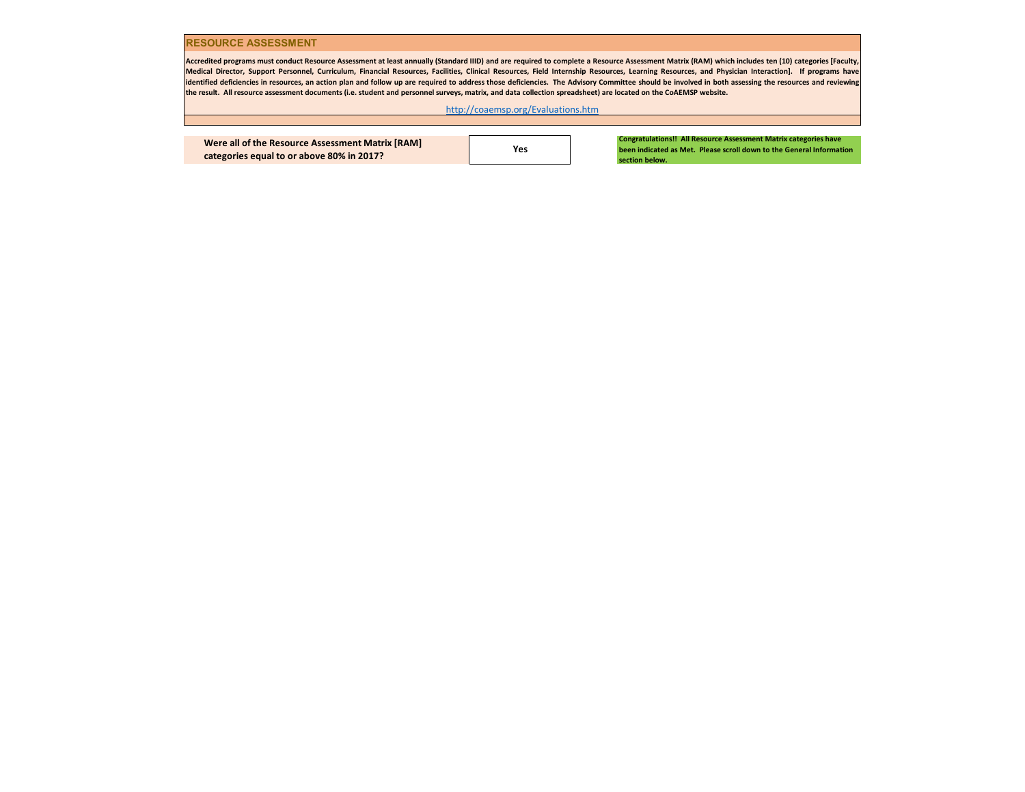#### **RESOURCE ASSESSMENT**

Accredited programs must conduct Resource Assessment at least annually (Standard IIID) and are required to complete a Resource Assessment Matrix (RAM) which includes ten (10) categories [Faculty, Medical Director, Support Personnel, Curriculum, Financial Resources, Facilities, Clinical Resources, Field Internship Resources, Learning Resources, and Physician Interaction]. If programs have identified deficiencies in resources, an action plan and follow up are required to address those deficiencies. The Advisory Committee should be involved in both assessing the resources and reviewing **the result. All resource assessment documents (i.e. student and personnel surveys, matrix, and data collection spreadsheet) are located on the CoAEMSP website.** 

[h](http://coaemsp.org/Evaluations.htm)ttp://coaemsp.org/Evaluations.htm

**Were all of the Resource Assessment Matrix [RAM] categories equal to or above 80% in 2017?**

**Yes**

**Congratulations!! All Resource Assessment Matrix categories have been indicated as Met. Please scroll down to the General Information section below.**